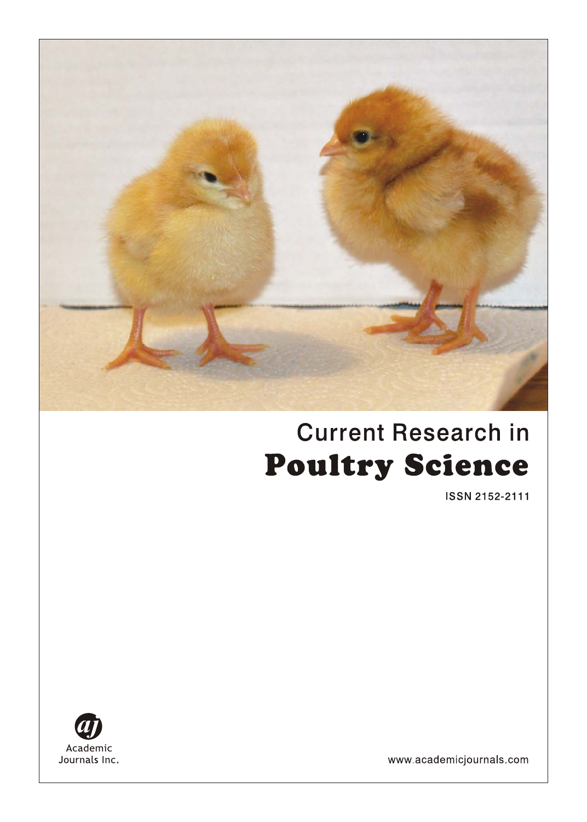

# **Current Research in Poultry Science**

ISSN 2152-2111



www.academicjournals.com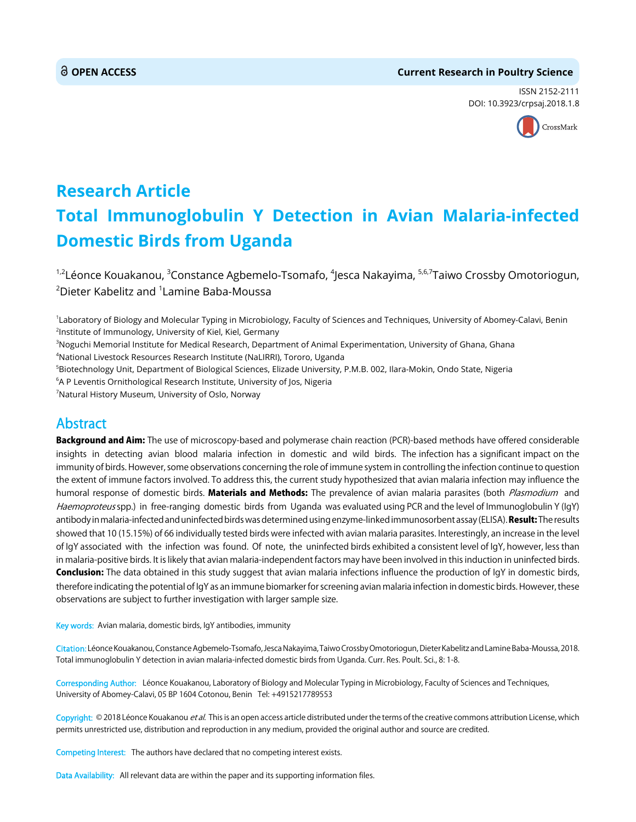#### **OPEN ACCESS Current Research in Poultry Science**

ISSN 2152-2111 DOI: 10.3923/crpsaj.2018.1.8



## **Research Article Total Immunoglobulin Y Detection in Avian Malaria-infected Domestic Birds from Uganda**

<sup>1,2</sup>Léonce Kouakanou, <sup>3</sup>Constance Agbemelo-Tsomafo, <sup>4</sup>Jesca Nakayima, <sup>5,6,7</sup>Taiwo Crossby Omotoriogun,  $^{2}$ Dieter Kabelitz and  $^{1}$ Lamine Baba-Moussa

<sup>1</sup>Laboratory of Biology and Molecular Typing in Microbiology, Faculty of Sciences and Techniques, University of Abomey-Calavi, Benin 2 Institute of Immunology, University of Kiel, Kiel, Germany

3 Noguchi Memorial Institute for Medical Research, Department of Animal Experimentation, University of Ghana, Ghana 4 National Livestock Resources Research Institute (NaLIRRI), Tororo, Uganda

<sup>5</sup>Biotechnology Unit, Department of Biological Sciences, Elizade University, P.M.B. 002, Ilara-Mokin, Ondo State, Nigeria

<sup>6</sup>A P Leventis Ornithological Research Institute, University of Jos, Nigeria

 $^7$ Natural History Museum, University of Oslo, Norway

### Abstract

Background and Aim: The use of microscopy-based and polymerase chain reaction (PCR)-based methods have offered considerable insights in detecting avian blood malaria infection in domestic and wild birds. The infection has a significant impact on the immunity of birds. However, some observations concerning the role of immune system in controlling the infection continue to question the extent of immune factors involved. To address this, the current study hypothesized that avian malaria infection may influence the humoral response of domestic birds. Materials and Methods: The prevalence of avian malaria parasites (both Plasmodium and Haemoproteus spp.) in free-ranging domestic birds from Uganda was evaluated using PCR and the level of Immunoglobulin Y (IgY) antibody in malaria-infected and uninfected birds was determined using enzyme-linked immunosorbent assay (ELISA). Result: The results showed that 10 (15.15%) of 66 individually tested birds were infected with avian malaria parasites. Interestingly, an increase in the level of IgY associated with the infection was found. Of note, the uninfected birds exhibited a consistent level of IgY, however, less than in malaria-positive birds. It is likely that avian malaria-independent factors may have been involved in this induction in uninfected birds. Conclusion: The data obtained in this study suggest that avian malaria infections influence the production of IgY in domestic birds, therefore indicating the potential of IgY as an immune biomarker for screening avian malaria infection in domestic birds. However, these observations are subject to further investigation with larger sample size.

Key words: Avian malaria, domestic birds, IqY antibodies, immunity

Citation: Léonce Kouakanou, Constance Agbemelo-Tsomafo, Jesca Nakayima, Taiwo Crossby Omotoriogun, Dieter Kabelitz and Lamine Baba-Moussa, 2018. Total immunoglobulin Y detection in avian malaria-infected domestic birds from Uganda. Curr. Res. Poult. Sci., 8: 1-8.

Corresponding Author: Léonce Kouakanou, Laboratory of Biology and Molecular Typing in Microbiology, Faculty of Sciences and Techniques, University of Abomey-Calavi, 05 BP 1604 Cotonou, Benin Tel: +4915217789553

Copyright: © 2018 Léonce Kouakanou *et al.* This is an open access article distributed under the terms of the creative commons attribution License, which permits unrestricted use, distribution and reproduction in any medium, provided the original author and source are credited.

Competing Interest: The authors have declared that no competing interest exists.

Data Availability: All relevant data are within the paper and its supporting information files.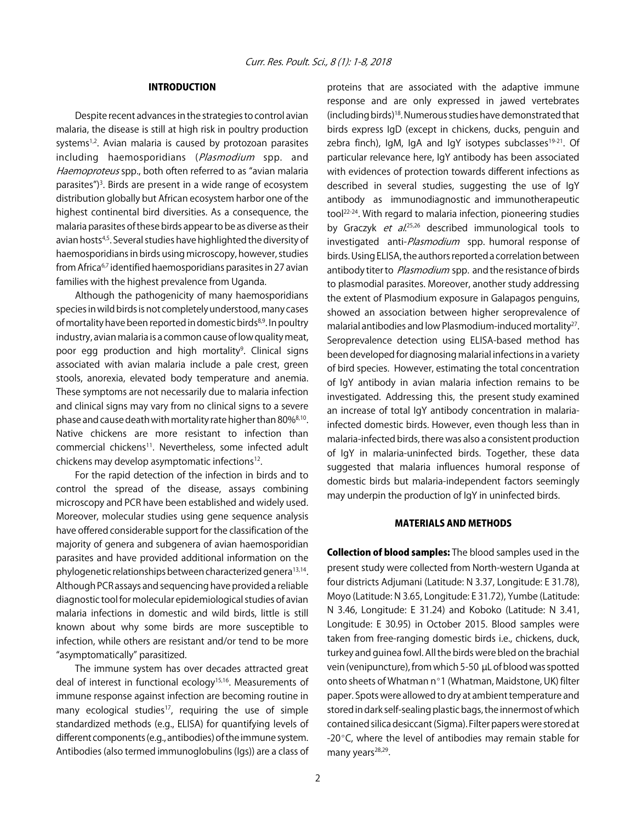#### INTRODUCTION

Despite recent advances in the strategies to control avian malaria, the disease is still at high risk in poultry production systems<sup>1,2</sup>. Avian malaria is caused by protozoan parasites including haemosporidians (Plasmodium spp. and Haemoproteus spp., both often referred to as "avian malaria parasites")<sup>3</sup>. Birds are present in a wide range of ecosystem distribution globally but African ecosystem harbor one of the highest continental bird diversities. As a consequence, the malaria parasites of these birds appear to be as diverse as their avian hosts<sup>4,5</sup>. Several studies have highlighted the diversity of haemosporidians in birds using microscopy, however, studies from Africa<sup>6,7</sup> identified haemosporidians parasites in 27 avian families with the highest prevalence from Uganda.

Although the pathogenicity of many haemosporidians species in wild birds is not completely understood, many cases of mortality have been reported in domestic birds<sup>8,9</sup>. In poultry industry, avian malaria is a common cause of low quality meat, poor egg production and high mortality<sup>9</sup>. Clinical signs associated with avian malaria include a pale crest, green stools, anorexia, elevated body temperature and anemia. These symptoms are not necessarily due to malaria infection and clinical signs may vary from no clinical signs to a severe phase and cause death with mortality rate higher than 80%8,10. Native chickens are more resistant to infection than commercial chickens<sup>11</sup>. Nevertheless, some infected adult chickens may develop asymptomatic infections<sup>12</sup>.

For the rapid detection of the infection in birds and to control the spread of the disease, assays combining microscopy and PCR have been established and widely used. Moreover, molecular studies using gene sequence analysis have offered considerable support for the classification of the majority of genera and subgenera of avian haemosporidian parasites and have provided additional information on the phylogenetic relationships between characterized genera<sup>13,14</sup>. Although PCR assays and sequencing have provided a reliable diagnostic tool for molecular epidemiological studies of avian malaria infections in domestic and wild birds, little is still known about why some birds are more susceptible to infection, while others are resistant and/or tend to be more "asymptomatically" parasitized.

The immune system has over decades attracted great deal of interest in functional ecology<sup>15,16</sup>. Measurements of immune response against infection are becoming routine in many ecological studies<sup>17</sup>, requiring the use of simple standardized methods (e.g., ELISA) for quantifying levels of different components (e.g., antibodies) of the immune system. Antibodies (also termed immunoglobulins (Igs)) are a class of

proteins that are associated with the adaptive immune response and are only expressed in jawed vertebrates (including birds)18. Numerous studies have demonstrated that birds express IgD (except in chickens, ducks, penguin and zebra finch), IgM, IgA and IgY isotypes subclasses<sup>19-21</sup>. Of particular relevance here, IgY antibody has been associated with evidences of protection towards different infections as described in several studies, suggesting the use of IgY antibody as immunodiagnostic and immunotherapeutic tool<sup>22-24</sup>. With regard to malaria infection, pioneering studies by Graczyk *et al.*<sup>25,26</sup> described immunological tools to investigated anti-Plasmodium spp. humoral response of birds. Using ELISA, the authors reported a correlation between antibody titer to *Plasmodium* spp. and the resistance of birds to plasmodial parasites. Moreover, another study addressing the extent of Plasmodium exposure in Galapagos penguins, showed an association between higher seroprevalence of malarial antibodies and low Plasmodium-induced mortality<sup>27</sup>. Seroprevalence detection using ELISA-based method has been developed for diagnosing malarial infections in a variety of bird species. However, estimating the total concentration of IgY antibody in avian malaria infection remains to be investigated. Addressing this, the present study examined an increase of total IgY antibody concentration in malariainfected domestic birds. However, even though less than in malaria-infected birds, there was also a consistent production of IgY in malaria-uninfected birds. Together, these data suggested that malaria influences humoral response of domestic birds but malaria-independent factors seemingly may underpin the production of IgY in uninfected birds.

#### MATERIALS AND METHODS

Collection of blood samples: The blood samples used in the present study were collected from North-western Uganda at four districts Adjumani (Latitude: N 3.37, Longitude: E 31.78), Moyo (Latitude: N 3.65, Longitude: E 31.72), Yumbe (Latitude: N 3.46, Longitude: E 31.24) and Koboko (Latitude: N 3.41, Longitude: E 30.95) in October 2015. Blood samples were taken from free-ranging domestic birds i.e., chickens, duck, turkey and guinea fowl. All the birds were bled on the brachial vein (venipuncture), from which 5-50 µL of blood was spotted onto sheets of Whatman n°1 (Whatman, Maidstone, UK) filter paper. Spots were allowed to dry at ambient temperature and stored in dark self-sealing plastic bags, the innermost of which contained silica desiccant (Sigma). Filter papers were stored at  $-20^{\circ}$ C, where the level of antibodies may remain stable for many years<sup>28,29</sup>.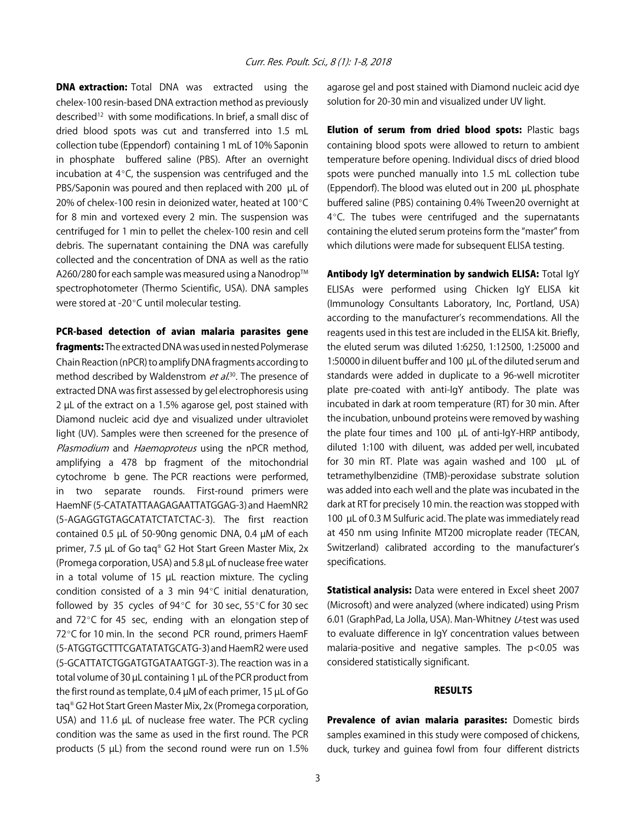**DNA extraction:** Total DNA was extracted using the chelex-100 resin-based DNA extraction method as previously described<sup>12</sup> with some modifications. In brief, a small disc of dried blood spots was cut and transferred into 1.5 mL collection tube (Eppendorf) containing 1 mL of 10% Saponin in phosphate buffered saline (PBS). After an overnight incubation at  $4^{\circ}$ C, the suspension was centrifuged and the PBS/Saponin was poured and then replaced with 200 µL of 20% of chelex-100 resin in deionized water, heated at  $100^{\circ}$ C for 8 min and vortexed every 2 min. The suspension was centrifuged for 1 min to pellet the chelex-100 resin and cell debris. The supernatant containing the DNA was carefully collected and the concentration of DNA as well as the ratio A260/280 for each sample was measured using a Nanodrop™ spectrophotometer (Thermo Scientific, USA). DNA samples were stored at -20 $^{\circ}$ C until molecular testing.

PCR-based detection of avian malaria parasites gene fragments: The extracted DNA was used in nested Polymerase Chain Reaction (nPCR) to amplify DNA fragments according to method described by Waldenstrom *et al*.<sup>30</sup>. The presence of extracted DNA was first assessed by gel electrophoresis using 2 µL of the extract on a 1.5% agarose gel, post stained with Diamond nucleic acid dye and visualized under ultraviolet light (UV). Samples were then screened for the presence of Plasmodium and Haemoproteus using the nPCR method, amplifying a 478 bp fragment of the mitochondrial cytochrome b gene. The PCR reactions were performed, in two separate rounds. First-round primers were HaemNF (5-CATATATTAAGAGAATTATGGAG-3) and HaemNR2 (5-AGAGGTGTAGCATATCTATCTAC-3). The first reaction contained 0.5 µL of 50-90ng genomic DNA, 0.4 µM of each primer, 7.5 µL of Go taq® G2 Hot Start Green Master Mix, 2x (Promega corporation, USA) and 5.8 µL of nuclease free water in a total volume of 15 µL reaction mixture. The cycling condition consisted of a 3 min  $94^{\circ}$ C initial denaturation, followed by 35 cycles of 94 $\degree$ C for 30 sec, 55 $\degree$ C for 30 sec and  $72^{\circ}$ C for 45 sec, ending with an elongation step of 72°C for 10 min. In the second PCR round, primers HaemF (5-ATGGTGCTTTCGATATATGCATG-3) and HaemR2 were used (5-GCATTATCTGGATGTGATAATGGT-3). The reaction was in a total volume of 30 µL containing 1 µL of the PCR product from the first round as template, 0.4 µM of each primer, 15 µL of Go taq® G2 Hot Start Green Master Mix, 2x (Promega corporation, USA) and 11.6 µL of nuclease free water. The PCR cycling condition was the same as used in the first round. The PCR products (5 µL) from the second round were run on 1.5%

agarose gel and post stained with Diamond nucleic acid dye solution for 20-30 min and visualized under UV light.

Elution of serum from dried blood spots: Plastic bags containing blood spots were allowed to return to ambient temperature before opening. Individual discs of dried blood spots were punched manually into 1.5 mL collection tube (Eppendorf). The blood was eluted out in 200 µL phosphate buffered saline (PBS) containing 0.4% Tween20 overnight at  $4^{\circ}$ C. The tubes were centrifuged and the supernatants containing the eluted serum proteins form the "master" from which dilutions were made for subsequent ELISA testing.

Antibody IgY determination by sandwich ELISA: Total IgY ELISAs were performed using Chicken IgY ELISA kit (Immunology Consultants Laboratory, Inc, Portland, USA) according to the manufacturer's recommendations. All the reagents used in this test are included in the ELISA kit. Briefly, the eluted serum was diluted 1:6250, 1:12500, 1:25000 and 1:50000 in diluent buffer and 100 µL of the diluted serum and standards were added in duplicate to a 96-well microtiter plate pre-coated with anti-IgY antibody. The plate was incubated in dark at room temperature (RT) for 30 min. After the incubation, unbound proteins were removed by washing the plate four times and 100 µL of anti-IgY-HRP antibody, diluted 1:100 with diluent, was added per well, incubated for 30 min RT. Plate was again washed and 100 µL of tetramethylbenzidine (TMB)-peroxidase substrate solution was added into each well and the plate was incubated in the dark at RT for precisely 10 min. the reaction was stopped with 100 µL of 0.3 M Sulfuric acid. The plate was immediately read at 450 nm using Infinite MT200 microplate reader (TECAN, Switzerland) calibrated according to the manufacturer's specifications.

**Statistical analysis:** Data were entered in Excel sheet 2007 (Microsoft) and were analyzed (where indicated) using Prism 6.01 (GraphPad, La Jolla, USA). Man-Whitney  $U$ -test was used to evaluate difference in IgY concentration values between malaria-positive and negative samples. The p<0.05 was considered statistically significant.

#### RESULTS

Prevalence of avian malaria parasites: Domestic birds samples examined in this study were composed of chickens, duck, turkey and guinea fowl from four different districts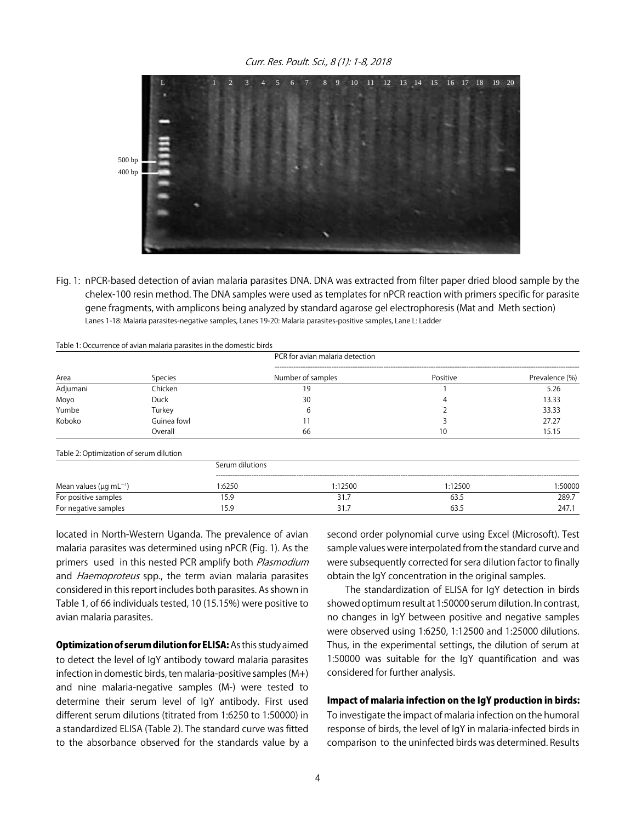Curr. Res. Poult. Sci., 8 (1): 1-8, 2018



Fig. 1: nPCR-based detection of avian malaria parasites DNA. DNA was extracted from filter paper dried blood sample by the chelex-100 resin method. The DNA samples were used as templates for nPCR reaction with primers specific for parasite gene fragments, with amplicons being analyzed by standard agarose gel electrophoresis (Mat and Meth section) Lanes 1-18: Malaria parasites-negative samples, Lanes 19-20: Malaria parasites-positive samples, Lane L: Ladder

Table 1: Occurrence of avian malaria parasites in the domestic birds

|                                          | Species                                 | PCR for avian malaria detection |                   |          |                |
|------------------------------------------|-----------------------------------------|---------------------------------|-------------------|----------|----------------|
| Area                                     |                                         |                                 | Number of samples | Positive | Prevalence (%) |
| Adjumani                                 | Chicken                                 |                                 | 19                |          | 5.26           |
| Moyo                                     | <b>Duck</b>                             |                                 | 30                | 4        | 13.33          |
| Yumbe                                    | Turkey                                  |                                 | 6                 |          | 33.33          |
| Koboko                                   | Guinea fowl                             |                                 |                   |          | 27.27          |
|                                          | Overall                                 |                                 | 66                | 10       | 15.15          |
|                                          | Table 2: Optimization of serum dilution |                                 |                   |          |                |
|                                          |                                         | Serum dilutions                 |                   |          |                |
| Mean values ( $\mu$ g mL <sup>-1</sup> ) |                                         | 1:6250                          | 1:12500           | 1:12500  | 1:50000        |

For positive samples 15.9 15.9 31.7 63.5 289.7 For negative samples 15.9 31.7 63.5 247.1

located in North-Western Uganda. The prevalence of avian malaria parasites was determined using nPCR (Fig. 1). As the primers used in this nested PCR amplify both Plasmodium and Haemoproteus spp., the term avian malaria parasites considered in this report includes both parasites. As shown in Table 1, of 66 individuals tested, 10 (15.15%) were positive to avian malaria parasites.

Optimization of serum dilution for ELISA: As this study aimed to detect the level of IgY antibody toward malaria parasites infection in domestic birds, ten malaria-positive samples (M+) and nine malaria-negative samples (M-) were tested to determine their serum level of IgY antibody. First used different serum dilutions (titrated from 1:6250 to 1:50000) in a standardized ELISA (Table 2). The standard curve was fitted to the absorbance observed for the standards value by a second order polynomial curve using Excel (Microsoft). Test sample values were interpolated from the standard curve and were subsequently corrected for sera dilution factor to finally obtain the IgY concentration in the original samples.

The standardization of ELISA for IgY detection in birds showed optimum result at 1:50000 serum dilution. In contrast, no changes in IgY between positive and negative samples were observed using 1:6250, 1:12500 and 1:25000 dilutions. Thus, in the experimental settings, the dilution of serum at 1:50000 was suitable for the IgY quantification and was considered for further analysis.

#### Impact of malaria infection on the IgY production in birds:

To investigate the impact of malaria infection on the humoral response of birds, the level of IgY in malaria-infected birds in comparison to the uninfected birds was determined. Results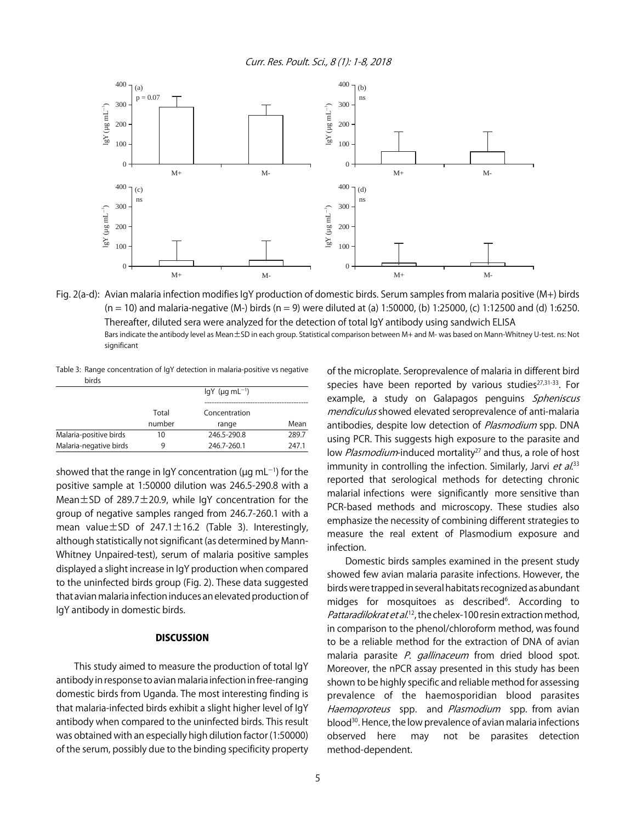Curr. Res. Poult. Sci., 8 (1): 1-8, 2018



Fig. 2(a-d): Avian malaria infection modifies IgY production of domestic birds. Serum samples from malaria positive (M+) birds  $(n = 10)$  and malaria-negative  $(M-)$  birds  $(n = 9)$  were diluted at (a) 1:50000, (b) 1:25000, (c) 1:12500 and (d) 1:6250. Thereafter, diluted sera were analyzed for the detection of total IgY antibody using sandwich ELISA Bars indicate the antibody level as Mean±SD in each group. Statistical comparison between M+ and M- was based on Mann-Whitney U-test. ns: Not significant

Table 3: Range concentration of IgY detection in malaria-positive vs negative birds

|                        |        | $lgY$ ( $\mu$ g mL <sup>-1</sup> ) |       |  |
|------------------------|--------|------------------------------------|-------|--|
|                        | Total  | Concentration                      |       |  |
|                        | number | range                              | Mean  |  |
| Malaria-positive birds | 10     | 246.5-290.8                        | 289.7 |  |
| Malaria-negative birds |        | 246.7-260.1                        | 247.1 |  |

showed that the range in IgY concentration ( $\mu$ g mL $^{-1}$ ) for the positive sample at 1:50000 dilution was 246.5-290.8 with a Mean±SD of 289.7±20.9, while IgY concentration for the group of negative samples ranged from 246.7-260.1 with a mean value±SD of 247.1±16.2 (Table 3). Interestingly, although statistically not significant (as determined by Mann-Whitney Unpaired-test), serum of malaria positive samples displayed a slight increase in IgY production when compared to the uninfected birds group (Fig. 2). These data suggested that avian malaria infection induces an elevated production of IgY antibody in domestic birds.

#### **DISCUSSION**

This study aimed to measure the production of total IgY antibody in response to avian malaria infection in free-ranging domestic birds from Uganda. The most interesting finding is that malaria-infected birds exhibit a slight higher level of IgY antibody when compared to the uninfected birds. This result was obtained with an especially high dilution factor (1:50000) of the serum, possibly due to the binding specificity property of the microplate. Seroprevalence of malaria in different bird species have been reported by various studies<sup>27,31-33</sup>. For example, a study on Galapagos penguins Spheniscus mendiculus showed elevated seroprevalence of anti-malaria antibodies, despite low detection of *Plasmodium* spp. DNA using PCR. This suggests high exposure to the parasite and low *Plasmodium*-induced mortality<sup>27</sup> and thus, a role of host immunity in controlling the infection. Similarly, Jarvi *et al.*<sup>33</sup> reported that serological methods for detecting chronic malarial infections were significantly more sensitive than PCR-based methods and microscopy. These studies also emphasize the necessity of combining different strategies to measure the real extent of Plasmodium exposure and infection.

Domestic birds samples examined in the present study showed few avian malaria parasite infections. However, the birds were trapped in several habitats recognized as abundant midges for mosquitoes as described<sup>6</sup>. According to Pattaradilokrat et al.<sup>12</sup>, the chelex-100 resin extraction method, in comparison to the phenol/chloroform method, was found to be a reliable method for the extraction of DNA of avian malaria parasite P. gallinaceum from dried blood spot. Moreover, the nPCR assay presented in this study has been shown to be highly specific and reliable method for assessing prevalence of the haemosporidian blood parasites Haemoproteus spp. and Plasmodium spp. from avian blood<sup>30</sup>. Hence, the low prevalence of avian malaria infections observed here may not be parasites detection method-dependent.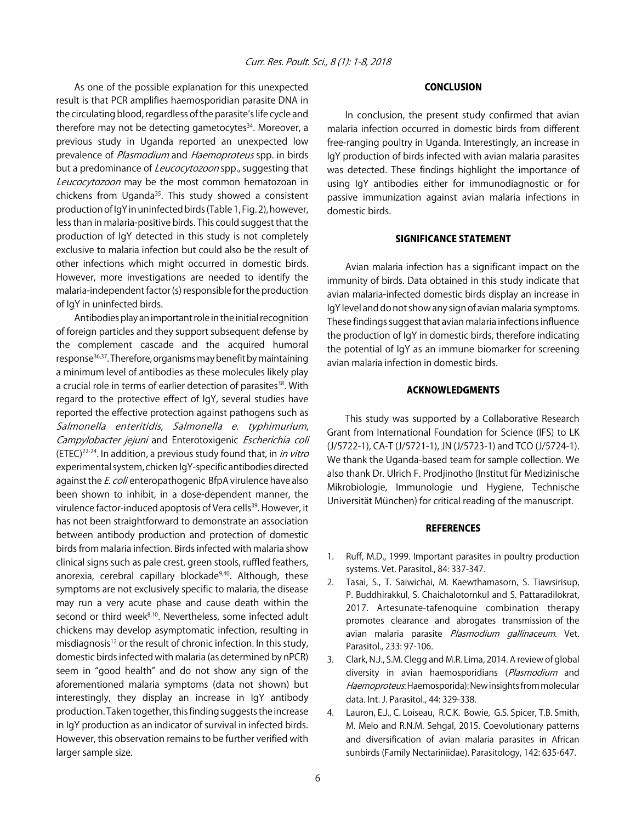As one of the possible explanation for this unexpected result is that PCR amplifies haemosporidian parasite DNA in the circulating blood, regardless of the parasite's life cycle and therefore may not be detecting gametocytes $34$ . Moreover, a previous study in Uganda reported an unexpected low prevalence of Plasmodium and Haemoproteus spp. in birds but a predominance of Leucocytozoon spp., suggesting that Leucocytozoon may be the most common hematozoan in chickens from Uganda<sup>35</sup>. This study showed a consistent production of IgY in uninfected birds (Table 1, Fig. 2), however, less than in malaria-positive birds. This could suggest that the production of IgY detected in this study is not completely exclusive to malaria infection but could also be the result of other infections which might occurred in domestic birds. However, more investigations are needed to identify the malaria-independent factor (s) responsible for the production of IgY in uninfected birds.

Antibodies play an important role in the initial recognition of foreign particles and they support subsequent defense by the complement cascade and the acquired humoral response<sup>36,37</sup>. Therefore, organisms may benefit by maintaining a minimum level of antibodies as these molecules likely play a crucial role in terms of earlier detection of parasites<sup>38</sup>. With regard to the protective effect of IgY, several studies have reported the effective protection against pathogens such as Salmonella enteritidis, Salmonella e. typhimurium, Campylobacter jejuni and Enterotoxigenic Escherichia coli (ETEC)<sup>22-24</sup>. In addition, a previous study found that, in *in vitro* experimental system, chicken IgY-specific antibodies directed against the *E. coli* enteropathogenic BfpA virulence have also been shown to inhibit, in a dose-dependent manner, the virulence factor-induced apoptosis of Vera cells<sup>39</sup>. However, it has not been straightforward to demonstrate an association between antibody production and protection of domestic birds from malaria infection. Birds infected with malaria show clinical signs such as pale crest, green stools, ruffled feathers, anorexia, cerebral capillary blockade<sup>9,40</sup>. Although, these symptoms are not exclusively specific to malaria, the disease may run a very acute phase and cause death within the second or third week<sup>8,10</sup>. Nevertheless, some infected adult chickens may develop asymptomatic infection, resulting in misdiagnosis<sup>12</sup> or the result of chronic infection. In this study, domestic birds infected with malaria (as determined by nPCR) seem in "good health" and do not show any sign of the aforementioned malaria symptoms (data not shown) but interestingly, they display an increase in IgY antibody production. Taken together, this finding suggests the increase in IgY production as an indicator of survival in infected birds. However, this observation remains to be further verified with larger sample size.

#### CONCLUSION

In conclusion, the present study confirmed that avian malaria infection occurred in domestic birds from different free-ranging poultry in Uganda. Interestingly, an increase in IgY production of birds infected with avian malaria parasites was detected. These findings highlight the importance of using IgY antibodies either for immunodiagnostic or for passive immunization against avian malaria infections in domestic birds.

#### SIGNIFICANCE STATEMENT

Avian malaria infection has a significant impact on the immunity of birds. Data obtained in this study indicate that avian malaria-infected domestic birds display an increase in IgY level and do not show any sign of avian malaria symptoms. These findings suggest that avian malaria infections influence the production of IgY in domestic birds, therefore indicating the potential of IgY as an immune biomarker for screening avian malaria infection in domestic birds.

#### ACKNOWLEDGMENTS

This study was supported by a Collaborative Research Grant from International Foundation for Science (IFS) to LK (J/5722-1), CA-T (J/5721-1), JN (J/5723-1) and TCO (J/5724-1). We thank the Uganda-based team for sample collection. We also thank Dr. Ulrich F. Prodjinotho (Institut für Medizinische Mikrobiologie, Immunologie und Hygiene, Technische Universität München) for critical reading of the manuscript.

#### **REFERENCES**

- 1. Ruff, M.D., 1999. Important parasites in poultry production systems. Vet. Parasitol., 84: 337-347.
- 2. Tasai, S., T. Saiwichai, M. Kaewthamasorn, S. Tiawsirisup, P. Buddhirakkul, S. Chaichalotornkul and S. Pattaradilokrat, 2017. Artesunate-tafenoquine combination therapy promotes clearance and abrogates transmission of the avian malaria parasite Plasmodium gallinaceum. Vet. Parasitol., 233: 97-106.
- 3. Clark, N.J., S.M. Clegg and M.R. Lima, 2014. A review of global diversity in avian haemosporidians (Plasmodium and Haemoproteus: Haemosporida): New insights from molecular data. Int. J. Parasitol., 44: 329-338.
- 4. Lauron, E.J., C. Loiseau, R.C.K. Bowie, G.S. Spicer, T.B. Smith, M. Melo and R.N.M. Sehgal, 2015. Coevolutionary patterns and diversification of avian malaria parasites in African sunbirds (Family Nectariniidae). Parasitology, 142: 635-647.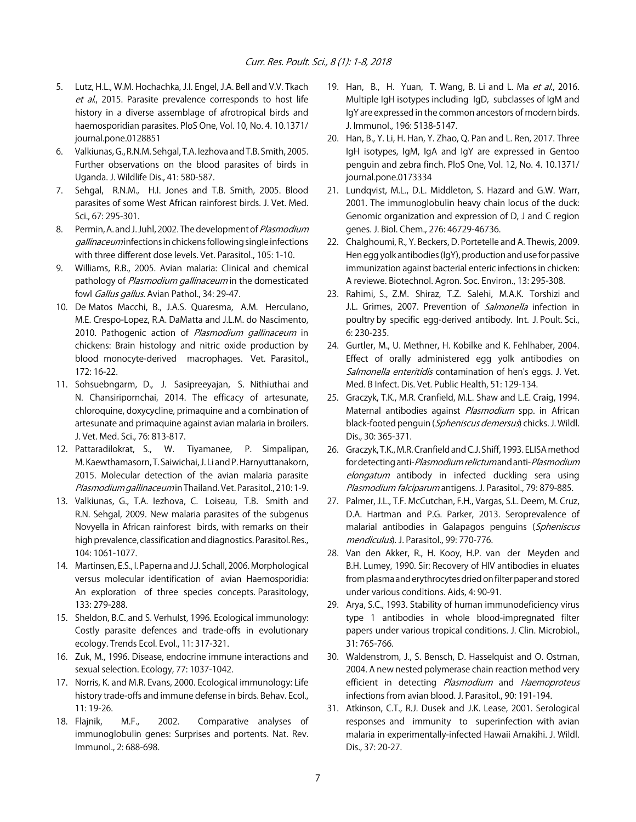- 5. Lutz, H.L., W.M. Hochachka, J.I. Engel, J.A. Bell and V.V. Tkach et al., 2015. Parasite prevalence corresponds to host life history in a diverse assemblage of afrotropical birds and haemosporidian parasites. PloS One, Vol. 10, No. 4. 10.1371/ journal.pone.0128851
- 6. Valkiunas, G., R.N.M. Sehgal, T.A. Iezhova and T.B. Smith, 2005. Further observations on the blood parasites of birds in Uganda. J. Wildlife Dis., 41: 580-587.
- 7. Sehgal, R.N.M., H.I. Jones and T.B. Smith, 2005. Blood parasites of some West African rainforest birds. J. Vet. Med. Sci., 67: 295-301.
- 8. Permin, A. and J. Juhl, 2002. The development of Plasmodium gallinaceum infections in chickens following single infections with three different dose levels. Vet. Parasitol., 105: 1-10.
- 9. Williams, R.B., 2005. Avian malaria: Clinical and chemical pathology of Plasmodium gallinaceum in the domesticated fowl Gallus gallus. Avian Pathol., 34: 29-47.
- 10. De Matos Macchi, B., J.A.S. Quaresma, A.M. Herculano, M.E. Crespo-Lopez, R.A. DaMatta and J.L.M. do Nascimento, 2010. Pathogenic action of Plasmodium gallinaceum in chickens: Brain histology and nitric oxide production by blood monocyte-derived macrophages. Vet. Parasitol., 172: 16-22.
- 11. Sohsuebngarm, D., J. Sasipreeyajan, S. Nithiuthai and N. Chansiripornchai, 2014. The efficacy of artesunate, chloroquine, doxycycline, primaquine and a combination of artesunate and primaquine against avian malaria in broilers. J. Vet. Med. Sci., 76: 813-817.
- 12. Pattaradilokrat, S., W. Tiyamanee, P. Simpalipan, M. Kaewthamasorn, T. Saiwichai, J. Li and P. Harnyuttanakorn, 2015. Molecular detection of the avian malaria parasite Plasmodium gallinaceum in Thailand. Vet. Parasitol., 210: 1-9.
- 13. Valkiunas, G., T.A. Iezhova, C. Loiseau, T.B. Smith and R.N. Sehgal, 2009. New malaria parasites of the subgenus Novyella in African rainforest birds, with remarks on their high prevalence, classification and diagnostics. Parasitol. Res., 104: 1061-1077.
- 14. Martinsen, E.S., I. Paperna and J.J. Schall, 2006. Morphological versus molecular identification of avian Haemosporidia: An exploration of three species concepts. Parasitology, 133: 279-288.
- 15. Sheldon, B.C. and S. Verhulst, 1996. Ecological immunology: Costly parasite defences and trade-offs in evolutionary ecology. Trends Ecol. Evol., 11: 317-321.
- 16. Zuk, M., 1996. Disease, endocrine immune interactions and sexual selection. Ecology, 77: 1037-1042.
- 17. Norris, K. and M.R. Evans, 2000. Ecological immunology: Life history trade-offs and immune defense in birds. Behav. Ecol., 11: 19-26.
- 18. Flajnik, M.F., 2002. Comparative analyses of immunoglobulin genes: Surprises and portents. Nat. Rev. Immunol., 2: 688-698.
- 19. Han, B., H. Yuan, T. Wang, B. Li and L. Ma et al., 2016. Multiple IgH isotypes including IgD, subclasses of IgM and IgY are expressed in the common ancestors of modern birds. J. Immunol., 196: 5138-5147.
- 20. Han, B., Y. Li, H. Han, Y. Zhao, Q. Pan and L. Ren, 2017. Three IgH isotypes, IgM, IgA and IgY are expressed in Gentoo penguin and zebra finch. PloS One, Vol. 12, No. 4. 10.1371/ journal.pone.0173334
- 21. Lundqvist, M.L., D.L. Middleton, S. Hazard and G.W. Warr, 2001. The immunoglobulin heavy chain locus of the duck: Genomic organization and expression of D, J and C region genes. J. Biol. Chem., 276: 46729-46736.
- 22. Chalghoumi, R., Y. Beckers, D. Portetelle and A. Thewis, 2009. Hen egg yolk antibodies (IgY), production and use for passive immunization against bacterial enteric infections in chicken: A reviewe. Biotechnol. Agron. Soc. Environ., 13: 295-308.
- 23. Rahimi, S., Z.M. Shiraz, T.Z. Salehi, M.A.K. Torshizi and J.L. Grimes, 2007. Prevention of *Salmonella* infection in poultry by specific egg-derived antibody. Int. J. Poult. Sci., 6: 230-235.
- 24. Gurtler, M., U. Methner, H. Kobilke and K. Fehlhaber, 2004. Effect of orally administered egg yolk antibodies on Salmonella enteritidis contamination of hen's eggs. J. Vet. Med. B Infect. Dis. Vet. Public Health, 51: 129-134.
- 25. Graczyk, T.K., M.R. Cranfield, M.L. Shaw and L.E. Craig, 1994. Maternal antibodies against *Plasmodium* spp. in African black-footed penguin (Spheniscus demersus) chicks. J. Wildl. Dis., 30: 365-371.
- 26. Graczyk, T.K., M.R. Cranfield and C.J. Shiff, 1993. ELISA method for detecting anti-Plasmodium relictum and anti-Plasmodium elongatum antibody in infected duckling sera using Plasmodium falciparum antigens. J. Parasitol., 79: 879-885.
- 27. Palmer, J.L., T.F. McCutchan, F.H., Vargas, S.L. Deem, M. Cruz, D.A. Hartman and P.G. Parker, 2013. Seroprevalence of malarial antibodies in Galapagos penguins (Spheniscus mendiculus). J. Parasitol., 99: 770-776.
- 28. Van den Akker, R., H. Kooy, H.P. van der Meyden and B.H. Lumey, 1990. Sir: Recovery of HIV antibodies in eluates from plasma and erythrocytes dried on filter paper and stored under various conditions. Aids, 4: 90-91.
- 29. Arya, S.C., 1993. Stability of human immunodeficiency virus type 1 antibodies in whole blood-impregnated filter papers under various tropical conditions. J. Clin. Microbiol., 31: 765-766.
- 30. Waldenstrom, J., S. Bensch, D. Hasselquist and O. Ostman, 2004. A new nested polymerase chain reaction method very efficient in detecting Plasmodium and Haemoproteus infections from avian blood. J. Parasitol., 90: 191-194.
- 31. Atkinson, C.T., R.J. Dusek and J.K. Lease, 2001. Serological responses and immunity to superinfection with avian malaria in experimentally-infected Hawaii Amakihi. J. Wildl. Dis., 37: 20-27.